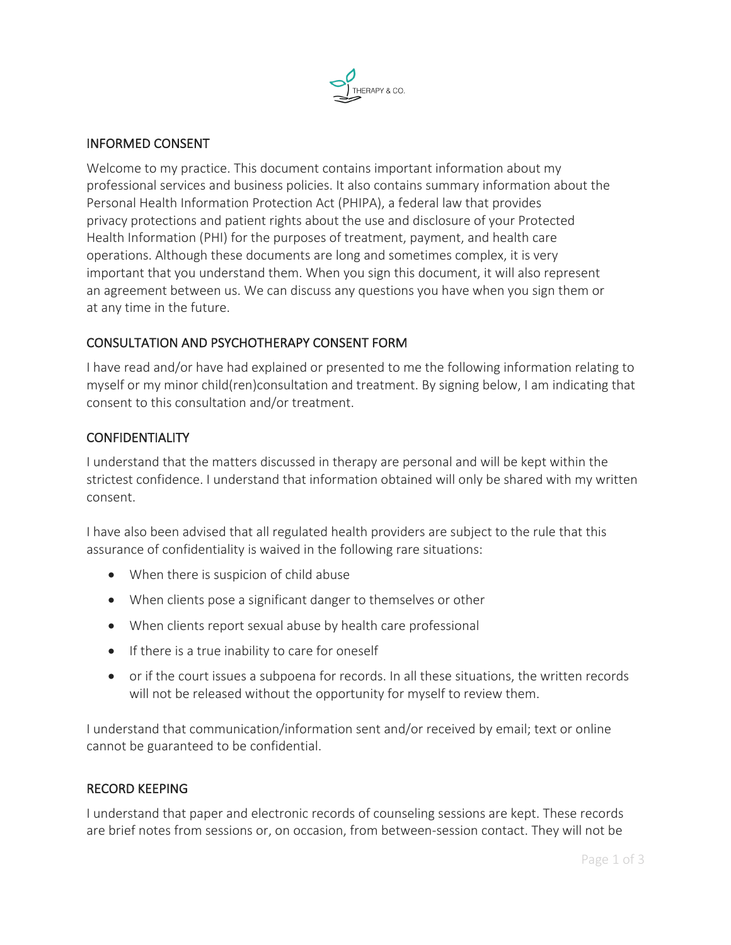

## INFORMED CONSENT

Welcome to my practice. This document contains important information about my professional services and business policies. It also contains summary information about the Personal Health Information Protection Act (PHIPA), a federal law that provides privacy protections and patient rights about the use and disclosure of your Protected Health Information (PHI) for the purposes of treatment, payment, and health care operations. Although these documents are long and sometimes complex, it is very important that you understand them. When you sign this document, it will also represent an agreement between us. We can discuss any questions you have when you sign them or at any time in the future.

## CONSULTATION AND PSYCHOTHERAPY CONSENT FORM

I have read and/or have had explained or presented to me the following information relating to myself or my minor child(ren)consultation and treatment. By signing below, I am indicating that consent to this consultation and/or treatment.

#### CONFIDENTIALITY

I understand that the matters discussed in therapy are personal and will be kept within the strictest confidence. I understand that information obtained will only be shared with my written consent.

I have also been advised that all regulated health providers are subject to the rule that this assurance of confidentiality is waived in the following rare situations:

- When there is suspicion of child abuse
- When clients pose a significant danger to themselves or other
- When clients report sexual abuse by health care professional
- If there is a true inability to care for oneself
- or if the court issues a subpoena for records. In all these situations, the written records will not be released without the opportunity for myself to review them.

I understand that communication/information sent and/or received by email; text or online cannot be guaranteed to be confidential.

#### RECORD KEEPING

I understand that paper and electronic records of counseling sessions are kept. These records are brief notes from sessions or, on occasion, from between-session contact. They will not be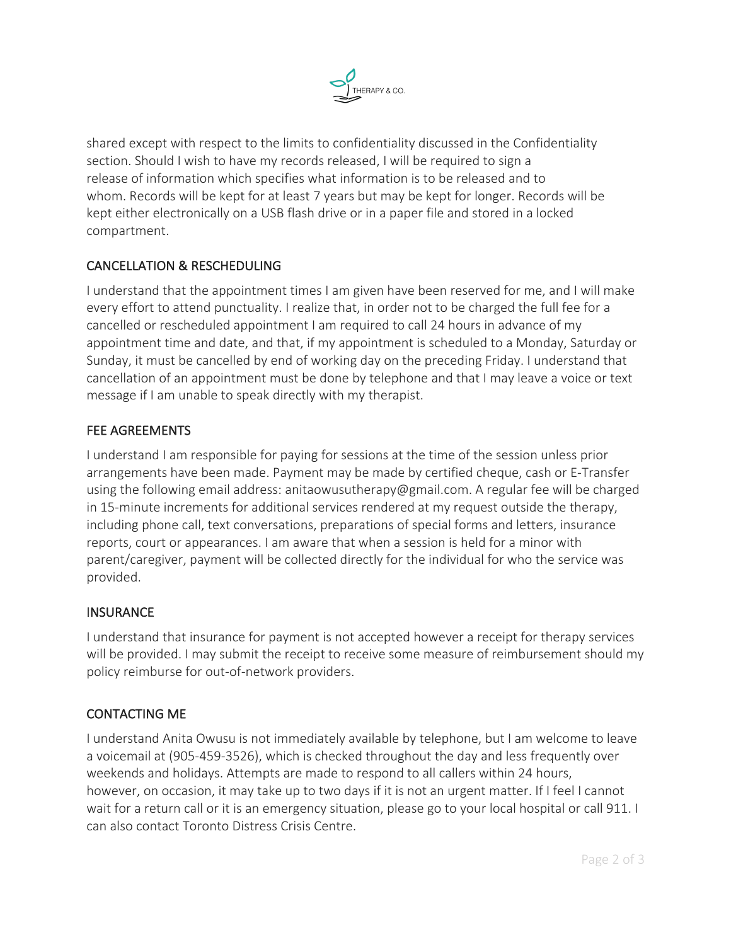

shared except with respect to the limits to confidentiality discussed in the Confidentiality section. Should I wish to have my records released, I will be required to sign a release of information which specifies what information is to be released and to whom. Records will be kept for at least 7 years but may be kept for longer. Records will be kept either electronically on a USB flash drive or in a paper file and stored in a locked compartment.

# CANCELLATION & RESCHEDULING

I understand that the appointment times I am given have been reserved for me, and I will make every effort to attend punctuality. I realize that, in order not to be charged the full fee for a cancelled or rescheduled appointment I am required to call 24 hours in advance of my appointment time and date, and that, if my appointment is scheduled to a Monday, Saturday or Sunday, it must be cancelled by end of working day on the preceding Friday. I understand that cancellation of an appointment must be done by telephone and that I may leave a voice or text message if I am unable to speak directly with my therapist.

## FEE AGREEMENTS

I understand I am responsible for paying for sessions at the time of the session unless prior arrangements have been made. Payment may be made by certified cheque, cash or E-Transfer using the following email address: anitaowusutherapy@gmail.com. A regular fee will be charged in 15-minute increments for additional services rendered at my request outside the therapy, including phone call, text conversations, preparations of special forms and letters, insurance reports, court or appearances. I am aware that when a session is held for a minor with parent/caregiver, payment will be collected directly for the individual for who the service was provided.

#### **INSURANCE**

I understand that insurance for payment is not accepted however a receipt for therapy services will be provided. I may submit the receipt to receive some measure of reimbursement should my policy reimburse for out-of-network providers.

# CONTACTING ME

I understand Anita Owusu is not immediately available by telephone, but I am welcome to leave a voicemail at (905-459-3526), which is checked throughout the day and less frequently over weekends and holidays. Attempts are made to respond to all callers within 24 hours, however, on occasion, it may take up to two days if it is not an urgent matter. If I feel I cannot wait for a return call or it is an emergency situation, please go to your local hospital or call 911. I can also contact Toronto Distress Crisis Centre.